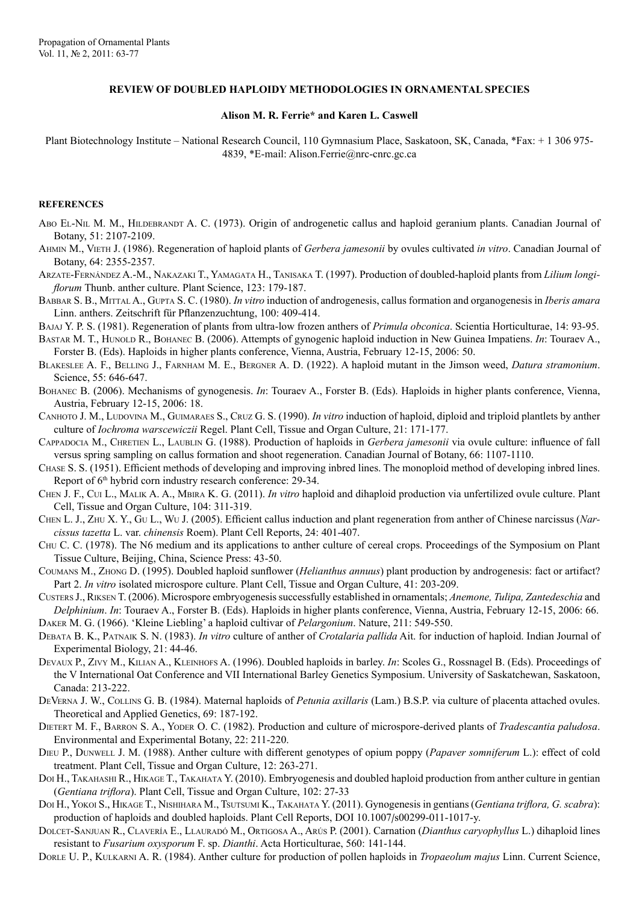## **REVIEW OF DOUBLED HAPLOIDY METHODOLOGIES IN ORNAMENTAL SPECIES**

## **Alison M. R. Ferrie\* and Karen L. Caswell**

Plant Biotechnology Institute – National Research Council, 110 Gymnasium Place, Saskatoon, SK, Canada, \*Fax: + 1 306 975- 4839, \*E-mail: Alison.Ferrie@nrc-cnrc.gc.ca

## **REFERENCES**

- ABO EL-NIL M. M., HILDEBRANDT A. C. (1973). Origin of androgenetic callus and haploid geranium plants. Canadian Journal of Botany, 51: 2107-2109.
- Ahmin M., Vieth J. (1986). Regeneration of haploid plants of *Gerbera jamesonii* by ovules cultivated *in vitro*. Canadian Journal of Botany, 64: 2355-2357.
- Arzate-Fernández A.-M., Nakazaki T., Yamagata H., Tanisaka T. (1997). Production of doubled-haploid plants from *Lilium longiflorum* Thunb. anther culture. Plant Science, 123: 179-187.
- Babbar S. B., Mittal A., Gupta S. C. (1980). *In vitro* induction of androgenesis, callus formation and organogenesis in *Iberis amara* Linn. anthers. Zeitschrift für Pflanzenzuchtung, 100: 409-414.
- Bajaj Y. P. S. (1981). Regeneration of plants from ultra-low frozen anthers of *Primula obconica*. Scientia Horticulturae, 14: 93-95.
- Bastar M. T., Hunold R., Bohanec B. (2006). Attempts of gynogenic haploid induction in New Guinea Impatiens. *In*: Touraev A., Forster B. (Eds). Haploids in higher plants conference, Vienna, Austria, February 12-15, 2006: 50.
- Blakeslee A. F., Belling J., Farnham M. E., Bergner A. D. (1922). A haploid mutant in the Jimson weed, *Datura stramonium*. Science, 55: 646-647.
- Bohanec B. (2006). Mechanisms of gynogenesis. *In*: Touraev A., Forster B. (Eds). Haploids in higher plants conference, Vienna, Austria, February 12-15, 2006: 18.
- CANHOTO J. M., LUDOVINA M., GUIMARAES S., CRUZ G. S. (1990). *In vitro* induction of haploid, diploid and triploid plantlets by anther culture of *Iochroma warscewiczii* Regel. Plant Cell, Tissue and Organ Culture, 21: 171-177.
- Cappadocia M., Chretien L., Laublin G. (1988). Production of haploids in *Gerbera jamesonii* via ovule culture: influence of fall versus spring sampling on callus formation and shoot regeneration. Canadian Journal of Botany, 66: 1107-1110.
- Chase S. S. (1951). Efficient methods of developing and improving inbred lines. The monoploid method of developing inbred lines. Report of 6th hybrid corn industry research conference: 29-34.
- Chen J. F., Cui L., Malik A. A., Mbira K. G. (2011). *In vitro* haploid and dihaploid production via unfertilized ovule culture. Plant Cell, Tissue and Organ Culture, 104: 311-319.
- Chen L. J., Zhu X. Y., Gu L., Wu J. (2005). Efficient callus induction and plant regeneration from anther of Chinese narcissus (*Narcissus tazetta* L. var. *chinensis* Roem). Plant Cell Reports, 24: 401-407.
- Chu C. C. (1978). The N6 medium and its applications to anther culture of cereal crops. Proceedings of the Symposium on Plant Tissue Culture, Beijing, China, Science Press: 43-50.
- Coumans M., Zhong D. (1995). Doubled haploid sunflower (*Helianthus annuus*) plant production by androgenesis: fact or artifact? Part 2. *In vitro* isolated microspore culture. Plant Cell, Tissue and Organ Culture, 41: 203-209.
- Custers J., Riksen T. (2006). Microspore embryogenesis successfully established in ornamentals; *Anemone, Tulipa, Zantedeschia* and *Delphinium*. *In*: Touraev A., Forster B. (Eds). Haploids in higher plants conference, Vienna, Austria, February 12-15, 2006: 66.
- Daker M. G. (1966). 'Kleine Liebling' a haploid cultivar of *Pelargonium*. Nature, 211: 549-550.
- Debata B. K., Patnaik S. N. (1983). *In vitro* culture of anther of *Crotalaria pallida* Ait. for induction of haploid. Indian Journal of Experimental Biology, 21: 44-46.
- Devaux P., Zivy M., Kilian A., Kleinhofs A. (1996). Doubled haploids in barley. *In*: Scoles G., Rossnagel B. (Eds). Proceedings of the V International Oat Conference and VII International Barley Genetics Symposium. University of Saskatchewan, Saskatoon, Canada: 213-222.
- DeVerna J. W., Collins G. B. (1984). Maternal haploids of *Petunia axillaris* (Lam.) B.S.P. via culture of placenta attached ovules. Theoretical and Applied Genetics, 69: 187-192.
- Dietert M. F., Barron S. A., Yoder O. C. (1982). Production and culture of microspore-derived plants of *Tradescantia paludosa*. Environmental and Experimental Botany, 22: 211-220.
- Dieu P., Dunwell J. M. (1988). Anther culture with different genotypes of opium poppy (*Papaver somniferum* L.): effect of cold treatment. Plant Cell, Tissue and Organ Culture, 12: 263-271.
- DOI H., TAKAHASHI R., HIKAGE T., TAKAHATA Y. (2010). Embryogenesis and doubled haploid production from anther culture in gentian (*Gentiana triflora*). Plant Cell, Tissue and Organ Culture, 102: 27-33
- Doi H., Yokoi S., Hikage T., Nishihara M., Tsutsumi K., Takahata Y. (2011). Gynogenesis in gentians (*Gentiana triflora, G. scabra*): production of haploids and doubled haploids. Plant Cell Reports, DOI 10.1007/s00299-011-1017-y.
- Dolcet-Sanjuan R., Clavería E., Llauradó M., Ortigosa A., Arús P. (2001). Carnation (*Dianthus caryophyllus* L.) dihaploid lines resistant to *Fusarium oxysporum* F. sp. *Dianthi*. Acta Horticulturae, 560: 141-144.
- Dorle U. P., Kulkarni A. R. (1984). Anther culture for production of pollen haploids in *Tropaeolum majus* Linn. Current Science,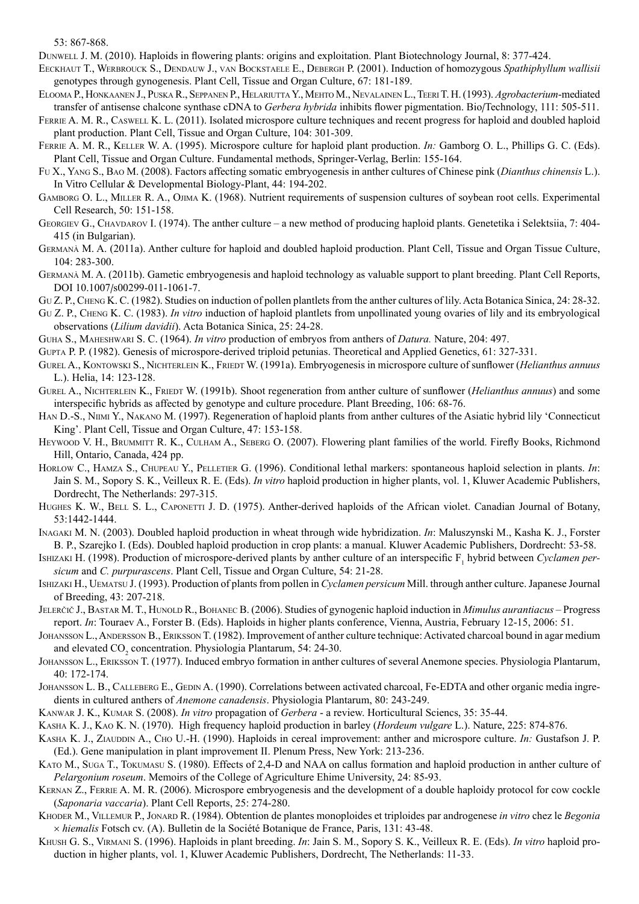53: 867-868.

Dunwell J. M. (2010). Haploids in flowering plants: origins and exploitation. Plant Biotechnology Journal, 8: 377-424.

Eeckhaut T., Werbrouck S., Dendauw J., van Bockstaele E., Debergh P. (2001). Induction of homozygous *Spathiphyllum wallisii* genotypes through gynogenesis. Plant Cell, Tissue and Organ Culture, 67: 181-189.

- Elooma P., Honkaanen J., Puska R., Seppanen P., Helariutta Y., Mehto M., Nevalainen L., Teeri T. H. (1993). *Agrobacterium*-mediated transfer of antisense chalcone synthase cDNA to *Gerbera hybrida* inhibits flower pigmentation. Bio/Technology, 111: 505-511.
- FERRIE A. M. R., CASWELL K. L. (2011). Isolated microspore culture techniques and recent progress for haploid and doubled haploid plant production. Plant Cell, Tissue and Organ Culture, 104: 301-309.
- Ferrie A. M. R., Keller W. A. (1995). Microspore culture for haploid plant production. *In:* Gamborg O. L., Phillips G. C. (Eds). Plant Cell, Tissue and Organ Culture. Fundamental methods, Springer-Verlag, Berlin: 155-164.
- Fu X., Yang S., Bao M. (2008). Factors affecting somatic embryogenesis in anther cultures of Chinese pink (*Dianthus chinensis* L.). In Vitro Cellular & Developmental Biology-Plant, 44: 194-202.
- Gamborg O. L., Miller R. A., Ojima K. (1968). Nutrient requirements of suspension cultures of soybean root cells. Experimental Cell Research, 50: 151-158.
- GEORGIEV G., CHAVDAROV I. (1974). The anther culture a new method of producing haploid plants. Genetetika i Selektsiia, 7: 404-415 (in Bulgarian).
- Germanà M. A. (2011a). Anther culture for haploid and doubled haploid production. Plant Cell, Tissue and Organ Tissue Culture, 104: 283-300.
- Germanà M. A. (2011b). Gametic embryogenesis and haploid technology as valuable support to plant breeding. Plant Cell Reports, DOI 10.1007/s00299-011-1061-7.
- Gu Z. P., Cheng K. C. (1982). Studies on induction of pollen plantlets from the anther cultures of lily. Acta Botanica Sinica, 24: 28-32.
- Gu Z. P., Cheng K. C. (1983). *In vitro* induction of haploid plantlets from unpollinated young ovaries of lily and its embryological observations (*Lilium davidii*). Acta Botanica Sinica, 25: 24-28.
- Guha S., Maheshwari S. C. (1964). *In vitro* production of embryos from anthers of *Datura.* Nature, 204: 497.
- Gupta P. P. (1982). Genesis of microspore-derived triploid petunias. Theoretical and Applied Genetics, 61: 327-331.
- Gurel A., Kontowski S., Nichterlein K., Friedt W. (1991a). Embryogenesis in microspore culture of sunflower (*Helianthus annuus* L.). Helia, 14: 123-128.
- GUREL A., NICHTERLEIN K., FRIEDT W. (1991b). Shoot regeneration from anther culture of sunflower (*Helianthus annuus*) and some interspecific hybrids as affected by genotype and culture procedure. Plant Breeding, 106: 68-76.
- Han D.-S., Niimi Y., Nakano M. (1997). Regeneration of haploid plants from anther cultures of the Asiatic hybrid lily 'Connecticut King'. Plant Cell, Tissue and Organ Culture, 47: 153-158.
- HEYWOOD V. H., BRUMMITT R. K., CULHAM A., SEBERG O. (2007). Flowering plant families of the world. Firefly Books, Richmond Hill, Ontario, Canada, 424 pp.
- HORLOW C., HAMZA S., CHUPEAU Y., PELLETIER G. (1996). Conditional lethal markers: spontaneous haploid selection in plants. *In*: Jain S. M., Sopory S. K., Veilleux R. E. (Eds). *In vitro* haploid production in higher plants, vol. 1, Kluwer Academic Publishers, Dordrecht, The Netherlands: 297-315.
- Hughes K. W., Bell S. L., Caponetti J. D. (1975). Anther-derived haploids of the African violet. Canadian Journal of Botany, 53:1442-1444.
- Inagaki M. N. (2003). Doubled haploid production in wheat through wide hybridization. *In*: Maluszynski M., Kasha K. J., Forster B. P., Szarejko I. (Eds). Doubled haploid production in crop plants: a manual. Kluwer Academic Publishers, Dordrecht: 53-58.
- ISHIZAKI H. (1998). Production of microspore-derived plants by anther culture of an interspecific F<sub>1</sub> hybrid between *Cyclamen persicum* and *C. purpurascens*. Plant Cell, Tissue and Organ Culture, 54: 21-28.
- Ishizaki H., Uematsu J. (1993). Production of plants from pollen in *Cyclamen persicum* Mill. through anther culture. Japanese Journal of Breeding, 43: 207-218.
- JELERČIČ J., BASTAR M. T., HUNOLD R., BOHANEC B. (2006). Studies of gynogenic haploid induction in *Mimulus aurantiacus* Progress report. *In*: Touraev A., Forster B. (Eds). Haploids in higher plants conference, Vienna, Austria, February 12-15, 2006: 51.
- Johansson L., Andersson B., Eriksson T. (1982). Improvement of anther culture technique: Activated charcoal bound in agar medium and elevated  $CO<sub>2</sub>$  concentration. Physiologia Plantarum, 54: 24-30.
- Johansson L., Eriksson T. (1977). Induced embryo formation in anther cultures of several Anemone species. Physiologia Plantarum, 40: 172-174.
- JOHANSSON L. B., CALLEBERG E., GEDIN A. (1990). Correlations between activated charcoal, Fe-EDTA and other organic media ingredients in cultured anthers of *Anemone canadensis*. Physiologia Plantarum, 80: 243-249.
- Kanwar J. K., Kumar S. (2008). *In vitro* propagation of *Gerbera* a review. Horticultural Sciencs, 35: 35-44.
- Kasha K. J., Kao K. N. (1970). High frequency haploid production in barley (*Hordeum vulgare* L.). Nature, 225: 874-876.
- KASHA K. J., ZIAUDDIN A., CHO U.-H. (1990). Haploids in cereal improvement: anther and microspore culture. *In:* Gustafson J. P. (Ed.). Gene manipulation in plant improvement II. Plenum Press, New York: 213-236.
- Kato M., Suga T., Tokumasu S. (1980). Effects of 2,4-D and NAA on callus formation and haploid production in anther culture of *Pelargonium roseum*. Memoirs of the College of Agriculture Ehime University, 24: 85-93.
- Kernan Z., Ferrie A. M. R. (2006). Microspore embryogenesis and the development of a double haploidy protocol for cow cockle (*Saponaria vaccaria*). Plant Cell Reports, 25: 274-280.
- Khoder M., Villemur P., Jonard R. (1984). Obtention de plantes monoploides et triploides par androgenese *in vitro* chez le *Begonia* × *hiemalis* Fotsch cv. (A). Bulletin de la Société Botanique de France, Paris, 131: 43-48.
- Khush G. S., Virmani S. (1996). Haploids in plant breeding. *In*: Jain S. M., Sopory S. K., Veilleux R. E. (Eds). *In vitro* haploid production in higher plants, vol. 1, Kluwer Academic Publishers, Dordrecht, The Netherlands: 11-33.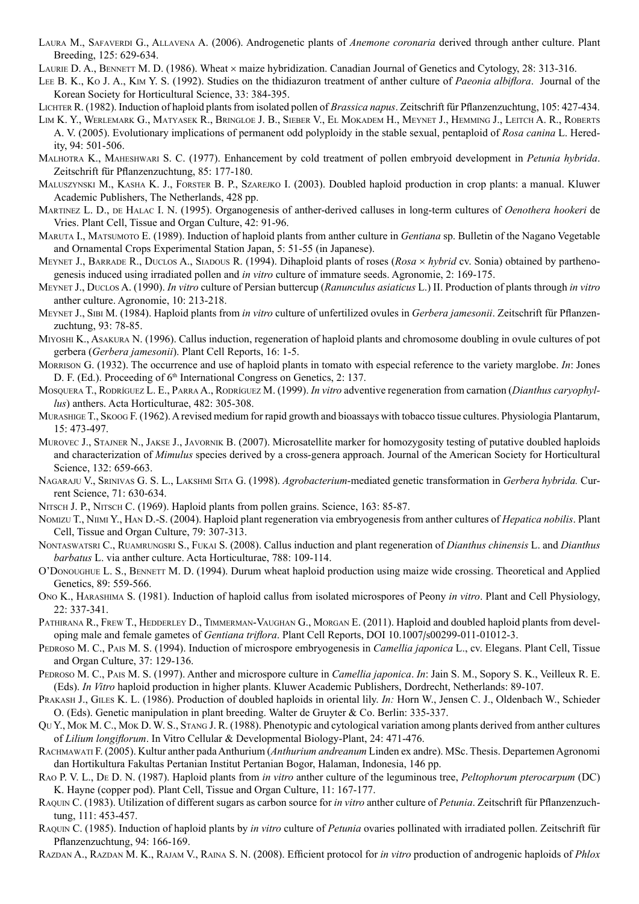- Laura M., Safaverdi G., Allavena A. (2006). Androgenetic plants of *Anemone coronaria* derived through anther culture. Plant Breeding, 125: 629-634.
- LAURIE D. A., BENNETT M. D. (1986). Wheat  $\times$  maize hybridization. Canadian Journal of Genetics and Cytology, 28: 313-316.
- Lee B. K., Ko J. A., Kim Y. S. (1992). Studies on the thidiazuron treatment of anther culture of *Paeonia albiflora*. Journal of the Korean Society for Horticultural Science, 33: 384-395.
- Lichter R. (1982). Induction of haploid plants from isolated pollen of *Brassica napus*. Zeitschrift für Pflanzenzuchtung, 105: 427-434.
- Lim K. Y., Werlemark G., Matyasek R., Bringloe J. B., Sieber V., El Mokadem H., Meynet J., Hemming J., Leitch A. R., Roberts A. V. (2005). Evolutionary implications of permanent odd polyploidy in the stable sexual, pentaploid of *Rosa canina* L. Heredity, 94: 501-506.
- Malhotra K., Maheshwari S. C. (1977). Enhancement by cold treatment of pollen embryoid development in *Petunia hybrida*. Zeitschrift für Pflanzenzuchtung, 85: 177-180.
- Maluszynski M., Kasha K. J., Forster B. P., Szarejko I. (2003). Doubled haploid production in crop plants: a manual. Kluwer Academic Publishers, The Netherlands, 428 pp.
- Martinez L. D., de Halac I. N. (1995). Organogenesis of anther-derived calluses in long-term cultures of *Oenothera hookeri* de Vries. Plant Cell, Tissue and Organ Culture, 42: 91-96.
- Maruta I., Matsumoto E. (1989). Induction of haploid plants from anther culture in *Gentiana* sp. Bulletin of the Nagano Vegetable and Ornamental Crops Experimental Station Japan, 5: 51-55 (in Japanese).
- Meynet J., Barrade R., Duclos A., Siadous R. (1994). Dihaploid plants of roses (*Rosa* × *hybrid* cv. Sonia) obtained by parthenogenesis induced using irradiated pollen and *in vitro* culture of immature seeds. Agronomie, 2: 169-175.
- Meynet J., Duclos A. (1990). *In vitro* culture of Persian buttercup (*Ranunculus asiaticus* L.) II. Production of plants through *in vitro* anther culture. Agronomie, 10: 213-218.
- Meynet J., Sibi M. (1984). Haploid plants from *in vitro* culture of unfertilized ovules in *Gerbera jamesonii*. Zeitschrift für Pflanzenzuchtung, 93: 78-85.
- Miyoshi K., Asakura N. (1996). Callus induction, regeneration of haploid plants and chromosome doubling in ovule cultures of pot gerbera (*Gerbera jamesonii*). Plant Cell Reports, 16: 1-5.
- Morrison G. (1932). The occurrence and use of haploid plants in tomato with especial reference to the variety marglobe. *In*: Jones D. F. (Ed.). Proceeding of 6<sup>th</sup> International Congress on Genetics, 2: 137.
- Mosquera T., Rodríguez L. E., Parra A., Rodríguez M. (1999). *In vitro* adventive regeneration from carnation (*Dianthus caryophyllus*) anthers. Acta Horticulturae, 482: 305-308.
- Murashige T., Skoog F. (1962). A revised medium for rapid growth and bioassays with tobacco tissue cultures. Physiologia Plantarum, 15: 473-497.
- MUROVEC J., STAJNER N., JAKSE J., JAVORNIK B. (2007). Microsatellite marker for homozygosity testing of putative doubled haploids and characterization of *Mimulus* species derived by a cross-genera approach. Journal of the American Society for Horticultural Science, 132: 659-663.
- Nagaraju V., Srinivas G. S. L., Lakshmi Sita G. (1998). *Agrobacterium*-mediated genetic transformation in *Gerbera hybrida.* Current Science, 71: 630-634.
- NITSCH J. P., NITSCH C. (1969). Haploid plants from pollen grains. Science, 163: 85-87.
- Nomizu T., Niimi Y., Han D.-S. (2004). Haploid plant regeneration via embryogenesis from anther cultures of *Hepatica nobilis*. Plant Cell, Tissue and Organ Culture, 79: 307-313.
- Nontaswatsri C., Ruamrungsri S., Fukai S. (2008). Callus induction and plant regeneration of *Dianthus chinensis* L. and *Dianthus barbatus* L. via anther culture. Acta Horticulturae, 788: 109-114.
- O'Donoughue L. S., Bennett M. D. (1994). Durum wheat haploid production using maize wide crossing. Theoretical and Applied Genetics, 89: 559-566.
- Ono K., Harashima S. (1981). Induction of haploid callus from isolated microspores of Peony *in vitro*. Plant and Cell Physiology, 22: 337-341.
- PATHIRANA R., FREW T., HEDDERLEY D., TIMMERMAN-VAUGHAN G., MORGAN E. (2011). Haploid and doubled haploid plants from developing male and female gametes of *Gentiana triflora*. Plant Cell Reports, DOI 10.1007/s00299-011-01012-3.
- Pedroso M. C., Pais M. S. (1994). Induction of microspore embryogenesis in *Camellia japonica* L., cv. Elegans. Plant Cell, Tissue and Organ Culture, 37: 129-136.
- Pedroso M. C., Pais M. S. (1997). Anther and microspore culture in *Camellia japonica*. *In*: Jain S. M., Sopory S. K., Veilleux R. E. (Eds). *In Vitro* haploid production in higher plants. Kluwer Academic Publishers, Dordrecht, Netherlands: 89-107.
- PRAKASH J., GILES K. L. (1986). Production of doubled haploids in oriental lily. *In:* Horn W., Jensen C. J., Oldenbach W., Schieder O. (Eds). Genetic manipulation in plant breeding. Walter de Gruyter & Co. Berlin: 335-337.
- Qu Y., Mok M. C., Mok D. W. S., Stang J. R. (1988). Phenotypic and cytological variation among plants derived from anther cultures of *Lilium longiflorum*. In Vitro Cellular & Developmental Biology-Plant, 24: 471-476.
- Rachmawati F. (2005). Kultur anther pada Anthurium (*Anthurium andreanum* Linden ex andre). MSc. Thesis. Departemen Agronomi dan Hortikultura Fakultas Pertanian Institut Pertanian Bogor, Halaman, Indonesia, 146 pp.
- Rao P. V. L., De D. N. (1987). Haploid plants from *in vitro* anther culture of the leguminous tree, *Peltophorum pterocarpum* (DC) K. Hayne (copper pod). Plant Cell, Tissue and Organ Culture, 11: 167-177.
- Raquin C. (1983). Utilization of different sugars as carbon source for *in vitro* anther culture of *Petunia*. Zeitschrift für Pflanzenzuchtung, 111: 453-457.
- Raquin C. (1985). Induction of haploid plants by *in vitro* culture of *Petunia* ovaries pollinated with irradiated pollen. Zeitschrift für Pflanzenzuchtung, 94: 166-169.
- Razdan A., Razdan M. K., Rajam V., Raina S. N. (2008). Efficient protocol for *in vitro* production of androgenic haploids of *Phlox*